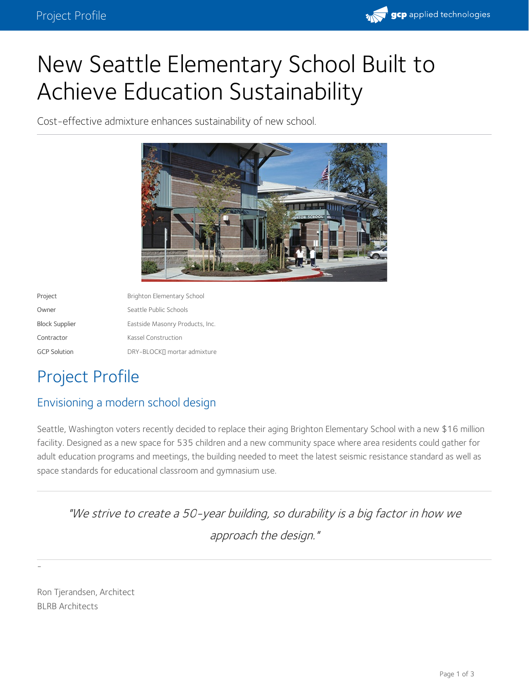

# New Seattle Elementary School Built to Achieve Education Sustainability

Cost-effective admixture enhances sustainability of new school.



| Project               | Brighton Elementary School      |
|-----------------------|---------------------------------|
| Owner                 | Seattle Public Schools          |
| <b>Block Supplier</b> | Eastside Masonry Products, Inc. |
| Contractor            | Kassel Construction             |
| <b>GCP Solution</b>   | DRY-BLOCK∏ mortar admixture     |
|                       |                                 |

# Project Profile

### Envisioning a modern school design

Seattle, Washington voters recently decided to replace their aging Brighton Elementary School with a new \$16 million facility. Designed as a new space for 535 children and a new community space where area residents could gather for adult education programs and meetings, the building needed to meet the latest seismic resistance standard as well as space standards for educational classroom and gymnasium use.

"We strive to create <sup>a</sup> 50-year building, so durability is <sup>a</sup> big factor in how we approach the design."

Ron Tjerandsen, Architect BLRB Architects

-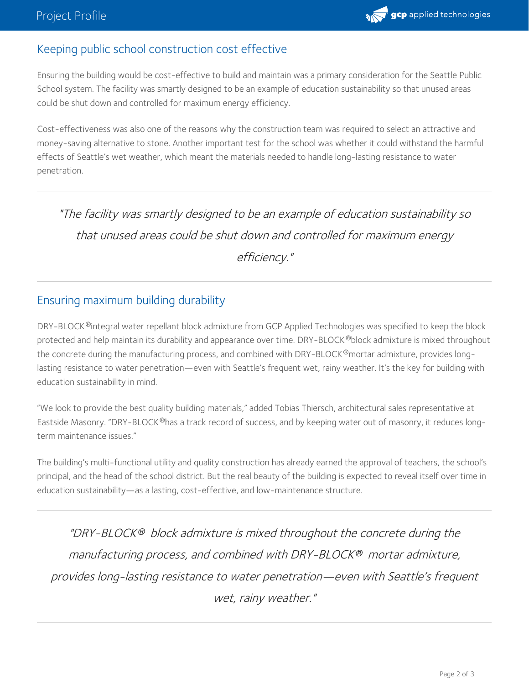## Keeping public school construction cost effective

Ensuring the building would be cost-effective to build and maintain was a primary consideration for the Seattle Public School system. The facility was smartly designed to be an example of education sustainability so that unused areas could be shut down and controlled for maximum energy efficiency.

Cost-effectiveness was also one of the reasons why the construction team was required to select an attractive and money-saving alternative to stone. Another important test for the school was whether it could withstand the harmful effects of Seattle's wet weather, which meant the materials needed to handle long-lasting resistance to water penetration.

"The facility was smartly designed to be an example of education sustainability so that unused areas could be shut down and controlled for maximum energy efficiency."

#### Ensuring maximum building durability

DRY-BLOCK ®integral water repellant block admixture from GCP Applied Technologies was specified to keep the block protected and help maintain its durability and appearance over time. DRY-BLOCK ®block admixture is mixed throughout the concrete during the manufacturing process, and combined with DRY-BLOCK ®mortar admixture, provides longlasting resistance to water penetration—even with Seattle's frequent wet, rainy weather. It's the key for building with education sustainability in mind.

"We look to provide the best quality building materials," added Tobias Thiersch, architectural sales representative at Eastside Masonry. "DRY-BLOCK®has a track record of success, and by keeping water out of masonry, it reduces longterm maintenance issues."

The building's multi-functional utility and quality construction has already earned the approval of teachers, the school's principal, and the head of the school district. But the real beauty of the building is expected to reveal itself over time in education sustainability—as a lasting, cost-effective, and low-maintenance structure.

"DRY-BLOCK® block admixture is mixed throughout the concrete during the manufacturing process, and combined with DRY-BLOCK mortar admixture, *®* provides long-lasting resistance to water penetration—even with Seattle's frequent wet, rainy weather."